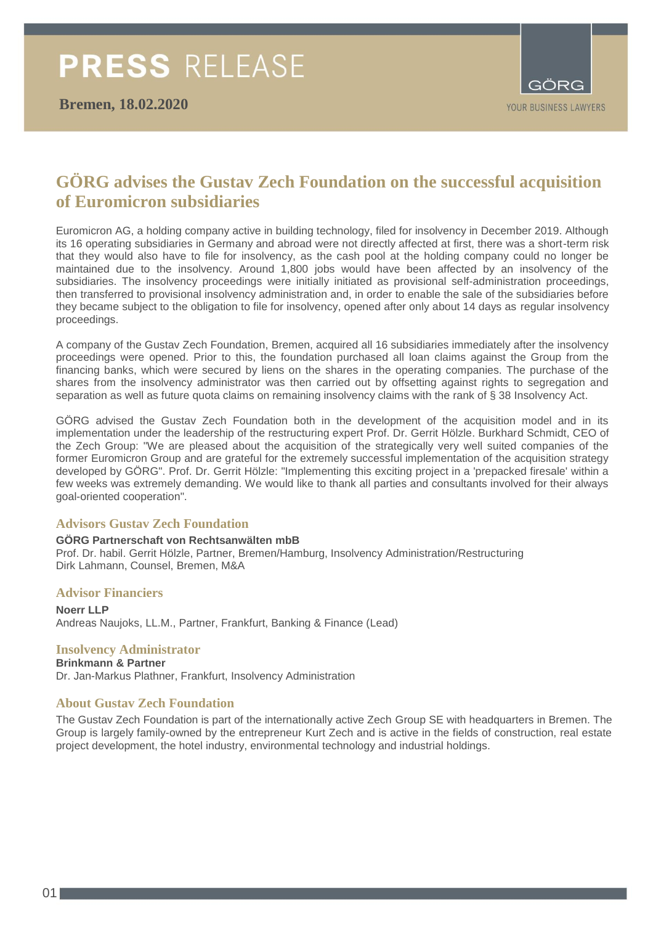

## **GÖRG advises the Gustav Zech Foundation on the successful acquisition of Euromicron subsidiaries**

Euromicron AG, a holding company active in building technology, filed for insolvency in December 2019. Although its 16 operating subsidiaries in Germany and abroad were not directly affected at first, there was a short-term risk that they would also have to file for insolvency, as the cash pool at the holding company could no longer be maintained due to the insolvency. Around 1,800 jobs would have been affected by an insolvency of the subsidiaries. The insolvency proceedings were initially initiated as provisional self-administration proceedings, then transferred to provisional insolvency administration and, in order to enable the sale of the subsidiaries before they became subject to the obligation to file for insolvency, opened after only about 14 days as regular insolvency proceedings.

A company of the Gustav Zech Foundation, Bremen, acquired all 16 subsidiaries immediately after the insolvency proceedings were opened. Prior to this, the foundation purchased all loan claims against the Group from the financing banks, which were secured by liens on the shares in the operating companies. The purchase of the shares from the insolvency administrator was then carried out by offsetting against rights to segregation and separation as well as future quota claims on remaining insolvency claims with the rank of § 38 Insolvency Act.

GÖRG advised the Gustav Zech Foundation both in the development of the acquisition model and in its implementation under the leadership of the restructuring expert Prof. Dr. Gerrit Hölzle. Burkhard Schmidt, CEO of the Zech Group: "We are pleased about the acquisition of the strategically very well suited companies of the former Euromicron Group and are grateful for the extremely successful implementation of the acquisition strategy developed by GÖRG". Prof. Dr. Gerrit Hölzle: "Implementing this exciting project in a 'prepacked firesale' within a few weeks was extremely demanding. We would like to thank all parties and consultants involved for their always goal-oriented cooperation".

### **Advisors Gustav Zech Foundation**

#### **GÖRG Partnerschaft von Rechtsanwälten mbB** Prof. Dr. habil. Gerrit Hölzle, Partner, Bremen/Hamburg, Insolvency Administration/Restructuring Dirk Lahmann, Counsel, Bremen, M&A

#### **Advisor Financiers**

**Noerr LLP** Andreas Naujoks, LL.M., Partner, Frankfurt, Banking & Finance (Lead)

## **Insolvency Administrator**

**Brinkmann & Partner** Dr. Jan-Markus Plathner, Frankfurt, Insolvency Administration

## **About Gustav Zech Foundation**

The Gustav Zech Foundation is part of the internationally active Zech Group SE with headquarters in Bremen. The Group is largely family-owned by the entrepreneur Kurt Zech and is active in the fields of construction, real estate project development, the hotel industry, environmental technology and industrial holdings.